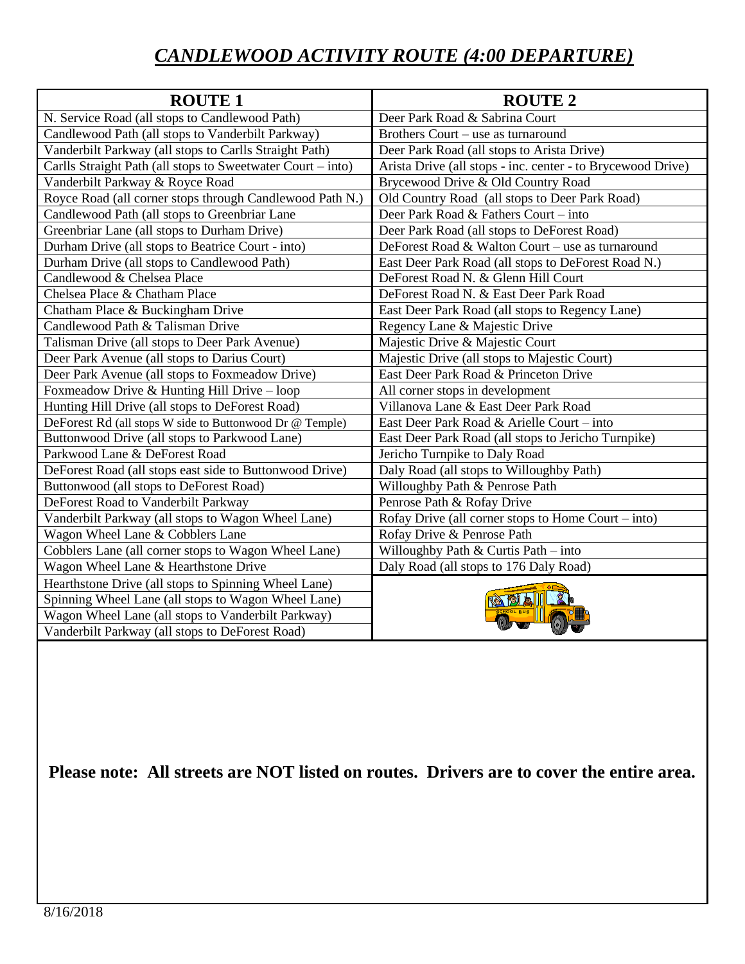## *CANDLEWOOD ACTIVITY ROUTE (4:00 DEPARTURE)*

| <b>ROUTE 1</b>                                              | <b>ROUTE 2</b>                                              |
|-------------------------------------------------------------|-------------------------------------------------------------|
| N. Service Road (all stops to Candlewood Path)              | Deer Park Road & Sabrina Court                              |
| Candlewood Path (all stops to Vanderbilt Parkway)           | Brothers Court – use as turnaround                          |
| Vanderbilt Parkway (all stops to Carlls Straight Path)      | Deer Park Road (all stops to Arista Drive)                  |
| Carlls Straight Path (all stops to Sweetwater Court – into) | Arista Drive (all stops - inc. center - to Brycewood Drive) |
| Vanderbilt Parkway & Royce Road                             | Brycewood Drive & Old Country Road                          |
| Royce Road (all corner stops through Candlewood Path N.)    | Old Country Road (all stops to Deer Park Road)              |
| Candlewood Path (all stops to Greenbriar Lane               | Deer Park Road & Fathers Court – into                       |
| Greenbriar Lane (all stops to Durham Drive)                 | Deer Park Road (all stops to DeForest Road)                 |
| Durham Drive (all stops to Beatrice Court - into)           | DeForest Road & Walton Court – use as turnaround            |
| Durham Drive (all stops to Candlewood Path)                 | East Deer Park Road (all stops to DeForest Road N.)         |
| Candlewood & Chelsea Place                                  | DeForest Road N. & Glenn Hill Court                         |
| Chelsea Place & Chatham Place                               | DeForest Road N. & East Deer Park Road                      |
| Chatham Place & Buckingham Drive                            | East Deer Park Road (all stops to Regency Lane)             |
| Candlewood Path & Talisman Drive                            | Regency Lane & Majestic Drive                               |
| Talisman Drive (all stops to Deer Park Avenue)              | Majestic Drive & Majestic Court                             |
| Deer Park Avenue (all stops to Darius Court)                | Majestic Drive (all stops to Majestic Court)                |
| Deer Park Avenue (all stops to Foxmeadow Drive)             | East Deer Park Road & Princeton Drive                       |
| Foxmeadow Drive & Hunting Hill Drive - loop                 | All corner stops in development                             |
| Hunting Hill Drive (all stops to DeForest Road)             | Villanova Lane & East Deer Park Road                        |
| DeForest Rd (all stops W side to Buttonwood Dr @ Temple)    | East Deer Park Road & Arielle Court - into                  |
| Buttonwood Drive (all stops to Parkwood Lane)               | East Deer Park Road (all stops to Jericho Turnpike)         |
| Parkwood Lane & DeForest Road                               | Jericho Turnpike to Daly Road                               |
| DeForest Road (all stops east side to Buttonwood Drive)     | Daly Road (all stops to Willoughby Path)                    |
| Buttonwood (all stops to DeForest Road)                     | Willoughby Path & Penrose Path                              |
| DeForest Road to Vanderbilt Parkway                         | Penrose Path & Rofay Drive                                  |
| Vanderbilt Parkway (all stops to Wagon Wheel Lane)          | Rofay Drive (all corner stops to Home Court $-$ into)       |
| Wagon Wheel Lane & Cobblers Lane                            | Rofay Drive & Penrose Path                                  |
| Cobblers Lane (all corner stops to Wagon Wheel Lane)        | Willoughby Path $&$ Curtis Path – into                      |
| Wagon Wheel Lane & Hearthstone Drive                        | Daly Road (all stops to 176 Daly Road)                      |
| Hearthstone Drive (all stops to Spinning Wheel Lane)        |                                                             |
| Spinning Wheel Lane (all stops to Wagon Wheel Lane)         |                                                             |
| Wagon Wheel Lane (all stops to Vanderbilt Parkway)          |                                                             |
| Vanderbilt Parkway (all stops to DeForest Road)             |                                                             |

**Please note: All streets are NOT listed on routes. Drivers are to cover the entire area.**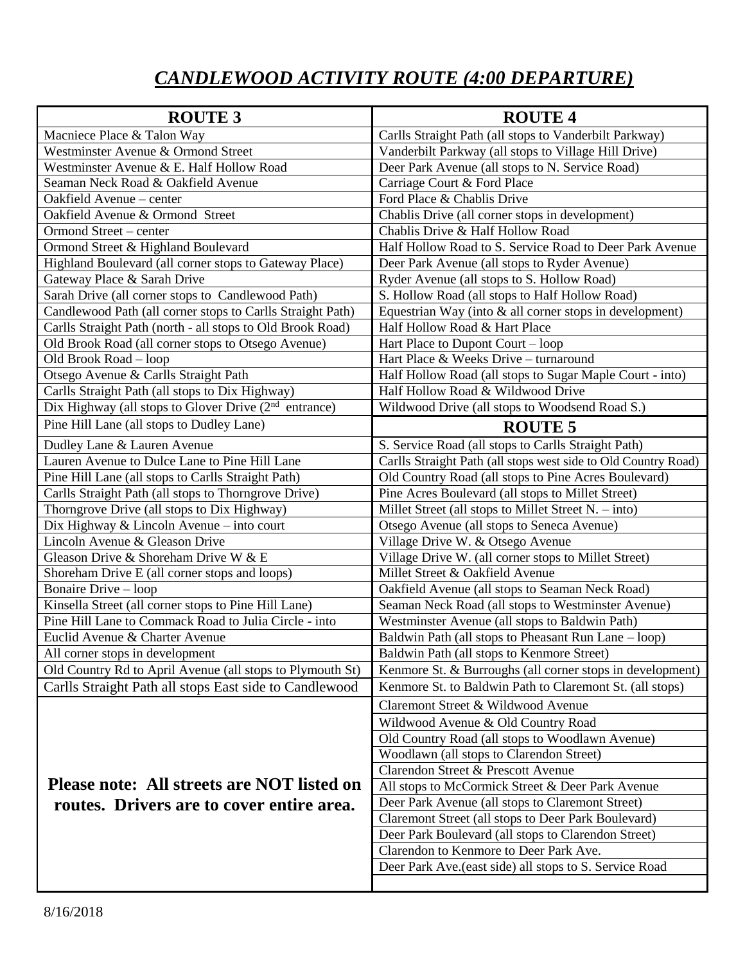## *CANDLEWOOD ACTIVITY ROUTE (4:00 DEPARTURE)*

| <b>ROUTE 3</b>                                                    | <b>ROUTE 4</b>                                                 |
|-------------------------------------------------------------------|----------------------------------------------------------------|
| Macniece Place & Talon Way                                        | Carlls Straight Path (all stops to Vanderbilt Parkway)         |
| Westminster Avenue & Ormond Street                                | Vanderbilt Parkway (all stops to Village Hill Drive)           |
| Westminster Avenue & E. Half Hollow Road                          | Deer Park Avenue (all stops to N. Service Road)                |
| Seaman Neck Road & Oakfield Avenue                                | Carriage Court & Ford Place                                    |
| Oakfield Avenue - center                                          | Ford Place & Chablis Drive                                     |
| Oakfield Avenue & Ormond Street                                   | Chablis Drive (all corner stops in development)                |
| Ormond Street - center                                            | Chablis Drive & Half Hollow Road                               |
| Ormond Street & Highland Boulevard                                | Half Hollow Road to S. Service Road to Deer Park Avenue        |
| Highland Boulevard (all corner stops to Gateway Place)            | Deer Park Avenue (all stops to Ryder Avenue)                   |
| Gateway Place & Sarah Drive                                       | Ryder Avenue (all stops to S. Hollow Road)                     |
| Sarah Drive (all corner stops to Candlewood Path)                 | S. Hollow Road (all stops to Half Hollow Road)                 |
| Candlewood Path (all corner stops to Carlls Straight Path)        | Equestrian Way (into $&$ all corner stops in development)      |
| Carlls Straight Path (north - all stops to Old Brook Road)        | Half Hollow Road & Hart Place                                  |
| Old Brook Road (all corner stops to Otsego Avenue)                | Hart Place to Dupont Court – loop                              |
| Old Brook Road - loop                                             | Hart Place & Weeks Drive – turnaround                          |
| Otsego Avenue & Carlls Straight Path                              | Half Hollow Road (all stops to Sugar Maple Court - into)       |
| Carlls Straight Path (all stops to Dix Highway)                   | Half Hollow Road & Wildwood Drive                              |
| Dix Highway (all stops to Glover Drive (2 <sup>nd</sup> entrance) | Wildwood Drive (all stops to Woodsend Road S.)                 |
| Pine Hill Lane (all stops to Dudley Lane)                         | <b>ROUTE 5</b>                                                 |
| Dudley Lane & Lauren Avenue                                       | S. Service Road (all stops to Carlls Straight Path)            |
| Lauren Avenue to Dulce Lane to Pine Hill Lane                     | Carlls Straight Path (all stops west side to Old Country Road) |
| Pine Hill Lane (all stops to Carlls Straight Path)                | Old Country Road (all stops to Pine Acres Boulevard)           |
| Carlls Straight Path (all stops to Thorngrove Drive)              | Pine Acres Boulevard (all stops to Millet Street)              |
| Thorngrove Drive (all stops to Dix Highway)                       | Millet Street (all stops to Millet Street $N. - into$ )        |
| Dix Highway & Lincoln Avenue - into court                         | Otsego Avenue (all stops to Seneca Avenue)                     |
| Lincoln Avenue & Gleason Drive                                    | Village Drive W. & Otsego Avenue                               |
| Gleason Drive & Shoreham Drive W & E                              | Village Drive W. (all corner stops to Millet Street)           |
| Shoreham Drive E (all corner stops and loops)                     | Millet Street & Oakfield Avenue                                |
| Bonaire Drive – loop                                              | Oakfield Avenue (all stops to Seaman Neck Road)                |
| Kinsella Street (all corner stops to Pine Hill Lane)              | Seaman Neck Road (all stops to Westminster Avenue)             |
| Pine Hill Lane to Commack Road to Julia Circle - into             | Westminster Avenue (all stops to Baldwin Path)                 |
| Euclid Avenue & Charter Avenue                                    | Baldwin Path (all stops to Pheasant Run Lane – loop)           |
| All corner stops in development                                   | Baldwin Path (all stops to Kenmore Street)                     |
| Old Country Rd to April Avenue (all stops to Plymouth St)         | Kenmore St. & Burroughs (all corner stops in development)      |
| Carlls Straight Path all stops East side to Candlewood            | Kenmore St. to Baldwin Path to Claremont St. (all stops)       |
|                                                                   | Claremont Street & Wildwood Avenue                             |
|                                                                   | Wildwood Avenue & Old Country Road                             |
|                                                                   | Old Country Road (all stops to Woodlawn Avenue)                |
|                                                                   | Woodlawn (all stops to Clarendon Street)                       |
|                                                                   | Clarendon Street & Prescott Avenue                             |
| Please note: All streets are NOT listed on                        | All stops to McCormick Street & Deer Park Avenue               |
| routes. Drivers are to cover entire area.                         | Deer Park Avenue (all stops to Claremont Street)               |
|                                                                   | Claremont Street (all stops to Deer Park Boulevard)            |
|                                                                   | Deer Park Boulevard (all stops to Clarendon Street)            |
|                                                                   | Clarendon to Kenmore to Deer Park Ave.                         |
|                                                                   | Deer Park Ave. (east side) all stops to S. Service Road        |
|                                                                   |                                                                |